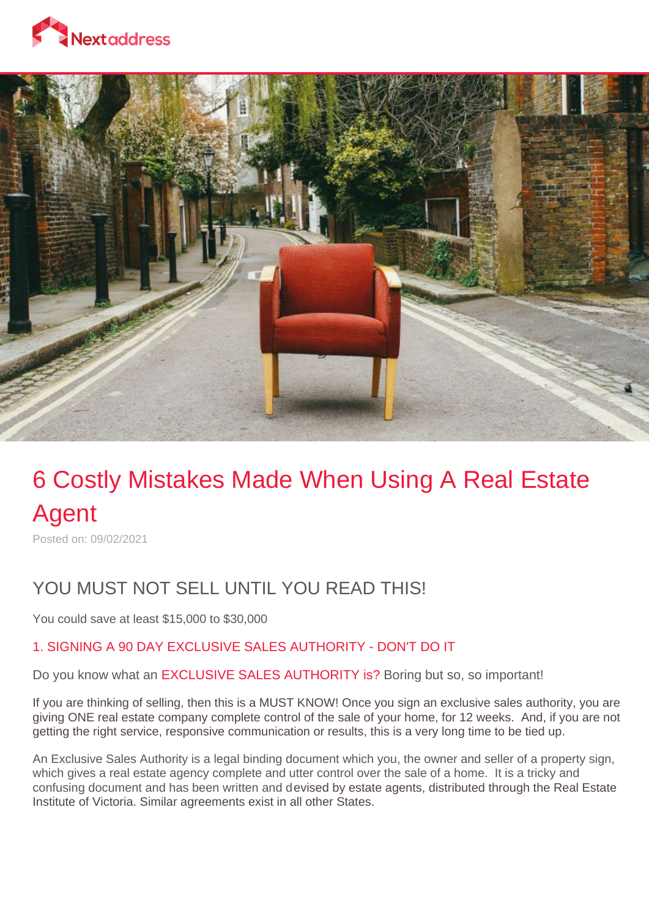



## 6 Costly Mistakes Made When Using A Real Estate Agent

Posted on: 09/02/2021

## YOU MUST NOT SELL UNTIL YOU READ THIS!

You could save at least \$15,000 to \$30,000

## 1. SIGNING A 90 DAY EXCLUSIVE SALES AUTHORITY - DON'T DO IT

Do you know what an EXCLUSIVE SALES AUTHORITY is? Boring but so, so important!

If you are thinking of selling, then this is a MUST KNOW! Once you sign an exclusive sales authority, you are giving ONE real estate company complete control of the sale of your home, for 12 weeks. And, if you are not getting the right service, responsive communication or results, this is a very long time to be tied up.

An Exclusive Sales Authority is a legal binding document which you, the owner and seller of a property sign, which gives a real estate agency complete and utter control over the sale of a home. It is a tricky and confusing document and has been written and devised by estate agents, distributed through the Real Estate Institute of Victoria. Similar agreements exist in all other States.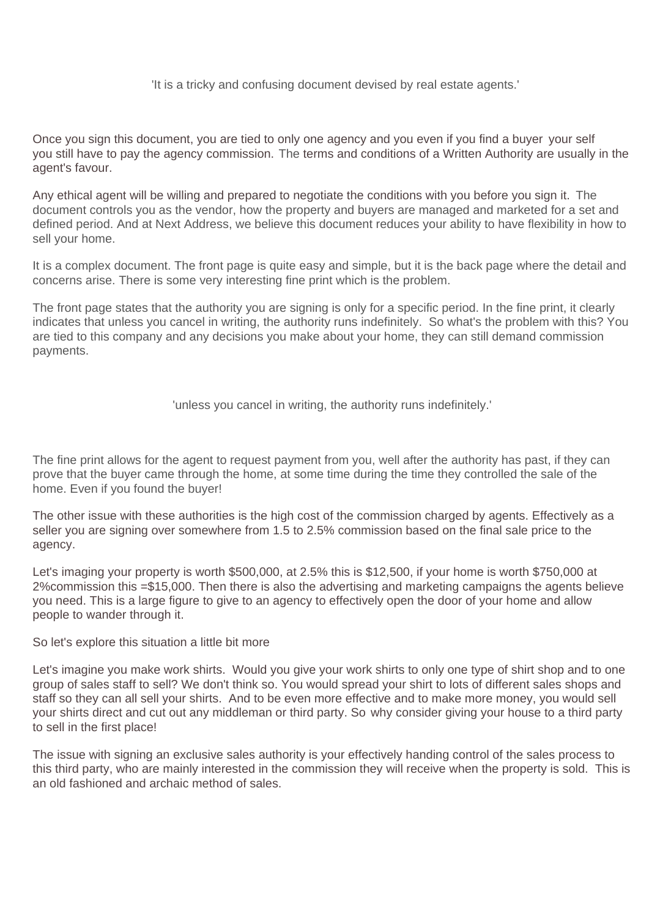'It is a tricky and confusing document devised by real estate agents.'

Once you sign this document, you are tied to only one agency and you even if you find a buyer your self you still have to pay the agency commission. The terms and conditions of a Written Authority are usually in the agent's favour.

Any ethical agent will be willing and prepared to negotiate the conditions with you before you sign it. The document controls you as the vendor, how the property and buyers are managed and marketed for a set and defined period. And at Next Address, we believe this document reduces your ability to have flexibility in how to sell your home.

It is a complex document. The front page is quite easy and simple, but it is the back page where the detail and concerns arise. There is some very interesting fine print which is the problem.

The front page states that the authority you are signing is only for a specific period. In the fine print, it clearly indicates that unless you cancel in writing, the authority runs indefinitely. So what's the problem with this? You are tied to this company and any decisions you make about your home, they can still demand commission payments.

'unless you cancel in writing, the authority runs indefinitely.'

The fine print allows for the agent to request payment from you, well after the authority has past, if they can prove that the buyer came through the home, at some time during the time they controlled the sale of the home. Even if you found the buyer!

The other issue with these authorities is the high cost of the commission charged by agents. Effectively as a seller you are signing over somewhere from 1.5 to 2.5% commission based on the final sale price to the agency.

Let's imaging your property is worth \$500,000, at 2.5% this is \$12,500, if your home is worth \$750,000 at 2%commission this =\$15,000. Then there is also the advertising and marketing campaigns the agents believe you need. This is a large figure to give to an agency to effectively open the door of your home and allow people to wander through it.

So let's explore this situation a little bit more

Let's imagine you make work shirts. Would you give your work shirts to only one type of shirt shop and to one group of sales staff to sell? We don't think so. You would spread your shirt to lots of different sales shops and staff so they can all sell your shirts. And to be even more effective and to make more money, you would sell your shirts direct and cut out any middleman or third party. So why consider giving your house to a third party to sell in the first place!

The issue with signing an exclusive sales authority is your effectively handing control of the sales process to this third party, who are mainly interested in the commission they will receive when the property is sold. This is an old fashioned and archaic method of sales.